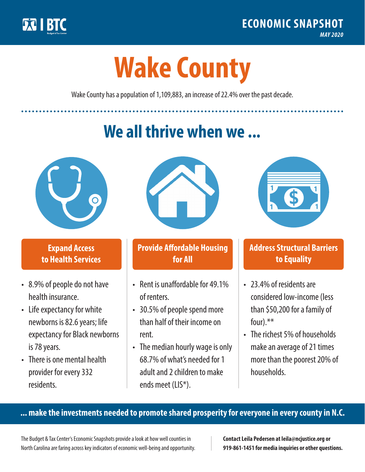

**1**

# **Wake County**

Wake County has a population of 1,109,883, an increase of 22.4% over the past decade.

# **We all thrive when we ...**



**\$ <sup>1</sup>**

**\$ <sup>1</sup>**

## **Expand Access to Health Services**

- 8.9% of people do not have health insurance.
- Life expectancy for white newborns is 82.6 years; life expectancy for Black newborns is 78 years.
- There is one mental health provider for every 332 residents.



## **Provide Affordable Housing for All**

- Rent is unaffordable for 49 1% of renters.
- 30.5% of people spend more than half of their income on rent.
- The median hourly wage is only 68.7% of what's needed for 1 adult and 2 children to make ends meet (LIS\*).



## **Address Structural Barriers to Equality**

- 23.4% of residents are considered low-income (less than \$50,200 for a family of four).\*\*
- The richest 5% of households make an average of 21 times more than the poorest 20% of households.

#### **... make the investments needed to promote shared prosperity for everyone in every county in N.C.**

The Budget & Tax Center's Economic Snapshots provide a look at how well counties in North Carolina are faring across key indicators of economic well-being and opportunity.